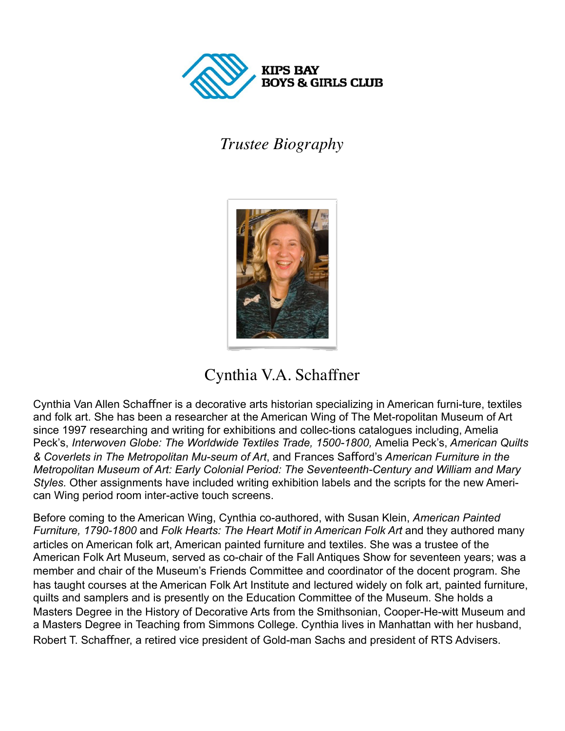

## *Trustee Biography*



## Cynthia V.A. Schaffner

Cynthia Van Allen Schafner is a decorative arts historian specializing in American furni-ture, textiles and folk art. She has been a researcher at the American Wing of The Met-ropolitan Museum of Art since 1997 researching and writing for exhibitions and collec-tions catalogues including, Amelia Peck's, *Interwoven Globe: The Worldwide Textiles Trade, 1500-1800,* Amelia Peck's, *American Quilts & Coverlets in The Metropolitan Mu-seum of Art*, and Frances Saford's *American Furniture in the Metropolitan Museum of Art: Early Colonial Period: The Seventeenth-Century and William and Mary Styles.* Other assignments have included writing exhibition labels and the scripts for the new American Wing period room inter-active touch screens.

Before coming to the American Wing, Cynthia co-authored, with Susan Klein, *American Painted Furniture, 1790-1800* and *Folk Hearts: The Heart Motif in American Folk Art* and they authored many articles on American folk art, American painted furniture and textiles. She was a trustee of the American Folk Art Museum, served as co-chair of the Fall Antiques Show for seventeen years; was a member and chair of the Museum's Friends Committee and coordinator of the docent program. She has taught courses at the American Folk Art Institute and lectured widely on folk art, painted furniture, quilts and samplers and is presently on the Education Committee of the Museum. She holds a Masters Degree in the History of Decorative Arts from the Smithsonian, Cooper-He-witt Museum and a Masters Degree in Teaching from Simmons College. Cynthia lives in Manhattan with her husband, Robert T. Schafner, a retired vice president of Gold-man Sachs and president of RTS Advisers.